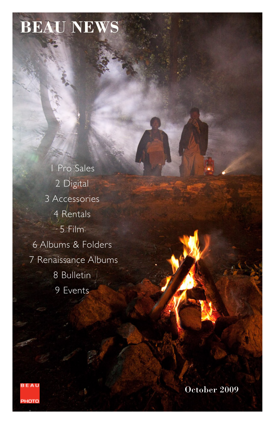# **BEAU NEWS**

1 Pro Sales 2 Digital 3 Accessories 4 Rentals 5 Film 6 Albums & Folders 7 Renaissance Albums 8 Bulletin 9 Events



October 2009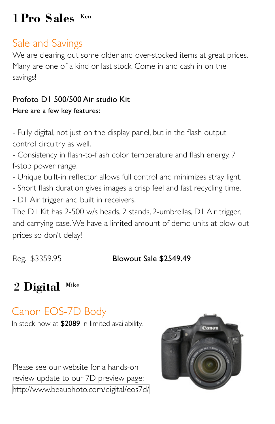# 1 **Pro Sales** Ken

# Sale and Savings

We are clearing out some older and over-stocked items at great prices. Many are one of a kind or last stock. Come in and cash in on the savings!

### Profoto D1 500/500 Air studio Kit

#### Here are a few key features:

- Fully digital, not just on the display panel, but in the flash output control circuitry as well.

- Consistency in flash-to-flash color temperature and flash energy, 7 f-stop power range.

- Unique built-in reflector allows full control and minimizes stray light.
- Short flash duration gives images a crisp feel and fast recycling time.
- D1 Air trigger and built in receivers.

The D1 Kit has 2-500 w/s heads, 2 stands, 2-umbrellas, D1 Air trigger, and carrying case. We have a limited amount of demo units at blow out prices so don't delay!

### Reg. \$3359.95 **Blowout Sale \$2549.49**

# 2 **Digital** Mike

# Canon EOS-7D Body

In stock now at \$2089 in limited availability.

Please see our website for a hands-on review update to our 7D preview page: <http://www.beauphoto.com/digital/eos7d/>

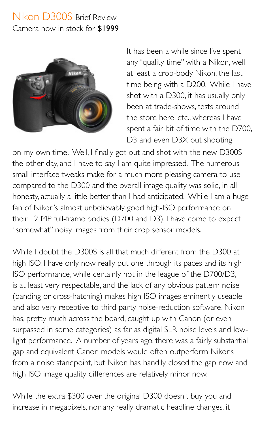### Nikon D300S Brief Review Camera now in stock for \$1999



It has been a while since I've spent any "quality time" with a Nikon, well at least a crop-body Nikon, the last time being with a D200. While I have shot with a D300, it has usually only been at trade-shows, tests around the store here, etc., whereas I have spent a fair bit of time with the D700, D3 and even D3X out shooting

on my own time. Well, I finally got out and shot with the new D300S the other day, and I have to say, I am quite impressed. The numerous small interface tweaks make for a much more pleasing camera to use compared to the D300 and the overall image quality was solid, in all honesty, actually a little better than I had anticipated. While I am a huge fan of Nikon's almost unbelievably good high-ISO performance on their 12 MP full-frame bodies (D700 and D3), I have come to expect "somewhat" noisy images from their crop sensor models.

While I doubt the D300S is all that much different from the D300 at high ISO, I have only now really put one through its paces and its high ISO performance, while certainly not in the league of the D700/D3, is at least very respectable, and the lack of any obvious pattern noise (banding or cross-hatching) makes high ISO images eminently useable and also very receptive to third party noise-reduction software. Nikon has, pretty much across the board, caught up with Canon (or even surpassed in some categories) as far as digital SLR noise levels and lowlight performance. A number of years ago, there was a fairly substantial gap and equivalent Canon models would often outperform Nikons from a noise standpoint, but Nikon has handily closed the gap now and high ISO image quality differences are relatively minor now.

While the extra \$300 over the original D300 doesn't buy you and increase in megapixels, nor any really dramatic headline changes, it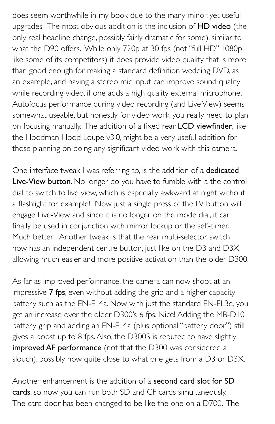does seem worthwhile in my book due to the many minor, yet useful upgrades. The most obvious addition is the inclusion of HD video (the only real headline change, possibly fairly dramatic for some), similar to what the D90 offers. While only 720p at 30 fps (not "full HD" 1080p like some of its competitors) it does provide video quality that is more than good enough for making a standard definition wedding DVD, as an example, and having a stereo mic input can improve sound quality while recording video, if one adds a high quality external microphone. Autofocus performance during video recording (and Live View) seems somewhat useable, but honestly for video work, you really need to plan on focusing manually. The addition of a fixed rear LCD viewfinder, like the Hoodman Hood Loupe v3.0, might be a very useful addition for those planning on doing any significant video work with this camera.

One interface tweak I was referring to, is the addition of a dedicated Live-View button. No longer do you have to fumble with a the control dial to switch to live view, which is especially awkward at night without a flashlight for example! Now just a single press of the LV button will engage Live-View and since it is no longer on the mode dial, it can finally be used in conjunction with mirror lockup or the self-timer. Much better! Another tweak is that the rear multi-selector switch now has an independent centre button, just like on the D3 and D3X, allowing much easier and more positive activation than the older D300.

As far as improved performance, the camera can now shoot at an impressive 7 fps, even without adding the grip and a higher capacity battery such as the EN-EL4a. Now with just the standard EN-EL3e, you get an increase over the older D300's 6 fps. Nice! Adding the MB-D10 battery grip and adding an EN-EL4a (plus optional "battery door") still gives a boost up to 8 fps. Also, the D300S is reputed to have slightly improved AF performance (not that the D300 was considered a slouch), possibly now quite close to what one gets from a D3 or D3X.

Another enhancement is the addition of a **second card slot for SD** cards, so now you can run both SD and CF cards simultaneously. The card door has been changed to be like the one on a D700. The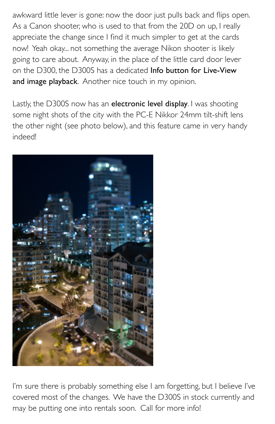awkward little lever is gone: now the door just pulls back and flips open. As a Canon shooter, who is used to that from the 20D on up, I really appreciate the change since I find it much simpler to get at the cards now! Yeah okay... not something the average Nikon shooter is likely going to care about. Anyway, in the place of the little card door lever on the D300, the D300S has a dedicated Info button for Live-View and image playback. Another nice touch in my opinion.

Lastly, the D300S now has an electronic level display. I was shooting some night shots of the city with the PC-E Nikkor 24mm tilt-shift lens the other night (see photo below), and this feature came in very handy indeed!



I'm sure there is probably something else I am forgetting, but I believe I've covered most of the changes. We have the D300S in stock currently and may be putting one into rentals soon. Call for more info!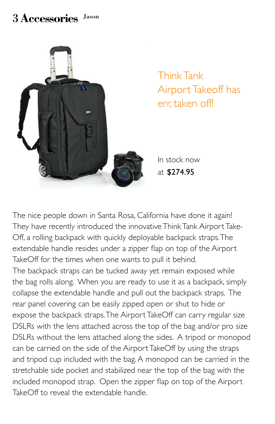### 3 **Accessories** Jason



Think Tank Airport Takeoff has err, taken off!

In stock now at \$274.95

The nice people down in Santa Rosa, California have done it again! They have recently introduced the innovative Think Tank Airport Take-Off, a rolling backpack with quickly deployable backpack straps. The extendable handle resides under a zipper flap on top of the Airport TakeOff for the times when one wants to pull it behind.

The backpack straps can be tucked away yet remain exposed while the bag rolls along. When you are ready to use it as a backpack, simply collapse the extendable handle and pull out the backpack straps. The rear panel covering can be easily zipped open or shut to hide or expose the backpack straps. The Airport TakeOff can carry regular size DSLRs with the lens attached across the top of the bag and/or pro size DSLRs without the lens attached along the sides. A tripod or monopod can be carried on the side of the Airport TakeOff by using the straps and tripod cup included with the bag. A monopod can be carried in the stretchable side pocket and stabilized near the top of the bag with the included monopod strap. Open the zipper flap on top of the Airport TakeOff to reveal the extendable handle.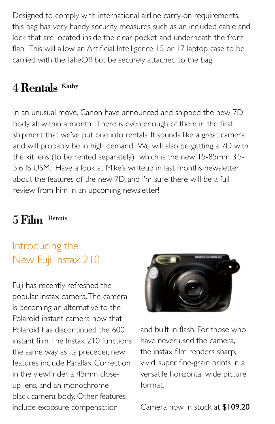Designed to comply with international airline carry-on requirements, this bag has very handy security measures such as an included cable and lock that are located inside the clear pocket and underneath the front flap. This will allow an Artificial Intelligence 15 or 17 laptop case to be carried with the TakeOff but be securely attached to the bag.

# 4 **Rentals** Kathy

In an unusual move, Canon have announced and shipped the new 7D body all within a month! There is even enough of them in the first shipment that we've put one into rentals. It sounds like a great camera and will probably be in high demand. We will also be getting a 7D with the kit lens (to be rented separately) which is the new 15-85mm 3.5- 5.6 IS USM. Have a look at Mike's writeup in last months newsletter about the features of the new 7D, and I'm sure there will be a full review from him in an upcoming newsletter!

### 5 Film Dennis

## Introducing the New Fuji Instax 210

Fuji has recently refreshed the popular Instax camera. The camera is becoming an alternative to the Polaroid instant camera now that Polaroid has discontinued the 600 instant film. The Instax 210 functions the same way as its preceder, new features include Parallax Correction in the viewfinder, a 45mm closeup lens, and an monochrome black camera body. Other features include exposure compensation



and built in flash. For those who have never used the camera, the instax film renders sharp, vivid, super fine-grain prints in a versatile horizontal wide picture format.

Camera now in stock at \$109.20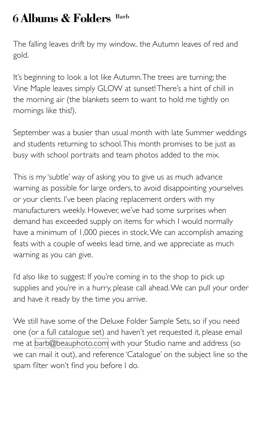## 6 **Albums & Folders** Barb

The falling leaves drift by my window.. the Autumn leaves of red and gold.

It's beginning to look a lot like Autumn. The trees are turning; the Vine Maple leaves simply GLOW at sunset! There's a hint of chill in the morning air (the blankets seem to want to hold me tightly on mornings like this!).

September was a busier than usual month with late Summer weddings and students returning to school. This month promises to be just as busy with school portraits and team photos added to the mix.

This is my 'subtle' way of asking you to give us as much advance warning as possible for large orders, to avoid disappointing yourselves or your clients. I've been placing replacement orders with my manufacturers weekly. However, we've had some surprises when demand has exceeded supply on items for which I would normally have a minimum of 1,000 pieces in stock. We can accomplish amazing feats with a couple of weeks lead time, and we appreciate as much warning as you can give.

I'd also like to suggest: If you're coming in to the shop to pick up supplies and you're in a hurry, please call ahead. We can pull your order and have it ready by the time you arrive.

We still have some of the Deluxe Folder Sample Sets, so if you need one (or a full catalogue set) and haven't yet requested it, please email me at [barb@beauphoto.com](mailto:barb@beauphoto.com) with your Studio name and address (so we can mail it out), and reference 'Catalogue' on the subject line so the spam filter won't find you before I do.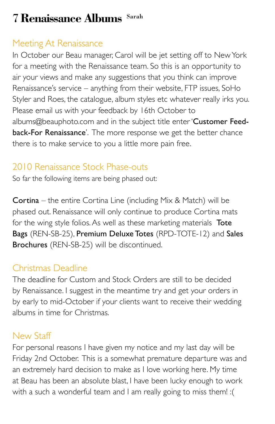# 7 **Renaissance Albums** Sarah

### Meeting At Renaissance

In October our Beau manager, Carol will be jet setting off to New York for a meeting with the Renaissance team. So this is an opportunity to air your views and make any suggestions that you think can improve Renaissance's service – anything from their website, FTP issues, SoHo Styler and Roes, the catalogue, album styles etc whatever really irks you. Please email us with your feedback by 16th October to albums@beauphoto.com and in the subject title enter 'Customer Feedback-For Renaissance'. The more response we get the better chance there is to make service to you a little more pain free.

### 2010 Renaissance Stock Phase-outs

So far the following items are being phased out:

Cortina – the entire Cortina Line (including Mix & Match) will be phased out. Renaissance will only continue to produce Cortina mats for the wing style folios. As well as these marketing materials Tote Bags (REN-SB-25), Premium Deluxe Totes (RPD-TOTE-12) and Sales Brochures (REN-SB-25) will be discontinued.

### Christmas Deadline

The deadline for Custom and Stock Orders are still to be decided by Renaissance. I suggest in the meantime try and get your orders in by early to mid-October if your clients want to receive their wedding albums in time for Christmas.

### New Staff

For personal reasons I have given my notice and my last day will be Friday 2nd October. This is a somewhat premature departure was and an extremely hard decision to make as I love working here. My time at Beau has been an absolute blast, I have been lucky enough to work with a such a wonderful team and I am really going to miss them! :(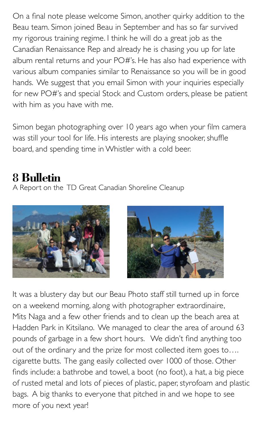On a final note please welcome Simon, another quirky addition to the Beau team. Simon joined Beau in September and has so far survived my rigorous training regime. I think he will do a great job as the Canadian Renaissance Rep and already he is chasing you up for late album rental returns and your PO#'s. He has also had experience with various album companies similar to Renaissance so you will be in good hands. We suggest that you email Simon with your inquiries especially for new PO#'s and special Stock and Custom orders, please be patient with him as you have with me.

Simon began photographing over 10 years ago when your film camera was still your tool for life. His interests are playing snooker, shuffle board, and spending time in Whistler with a cold beer.

## 8 **Bulletin**

A Report on the TD Great Canadian Shoreline Cleanup





It was a blustery day but our Beau Photo staff still turned up in force on a weekend morning, along with photographer extraordinaire, Mits Naga and a few other friends and to clean up the beach area at Hadden Park in Kitsilano. We managed to clear the area of around 63 pounds of garbage in a few short hours. We didn't find anything too out of the ordinary and the prize for most collected item goes to…. cigarette butts. The gang easily collected over 1000 of those. Other finds include: a bathrobe and towel, a boot (no foot), a hat, a big piece of rusted metal and lots of pieces of plastic, paper, styrofoam and plastic bags. A big thanks to everyone that pitched in and we hope to see more of you next year!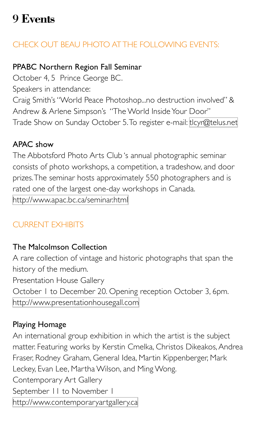# 9 **Events**

### CHECK OUT BEAU PHOTO AT THE FOLLOWING EVENTS:

#### PPABC Northern Region Fall Seminar

October 4, 5 Prince George BC. Speakers in attendance: Craig Smith's "World Peace Photoshop...no destruction involved" & Andrew & Arlene Simpson's "The World Inside Your Door" Trade Show on Sunday October 5. To register e-mail: [tlcyr@telus.net](mailto:tlcyr@telus.net)

#### APAC show

The Abbotsford Photo Arts Club 's annual photographic seminar consists of photo workshops, a competition, a tradeshow, and door prizes. The seminar hosts approximately 550 photographers and is rated one of the largest one-day workshops in Canada. <http://www.apac.bc.ca/seminar.html>

### CURRENT EXHIBITS

#### The Malcolmson Collection

A rare collection of vintage and historic photographs that span the history of the medium.

Presentation House Gallery

October 1 to December 20. Opening reception October 3, 6pm. <http://www.presentationhousegall.com>

#### Playing Homage

An international group exhibition in which the artist is the subject matter. Featuring works by Kerstin Cmelka, Christos Dikeakos, Andrea Fraser, Rodney Graham, General Idea, Martin Kippenberger, Mark Leckey, Evan Lee, Martha Wilson, and Ming Wong. Contemporary Art Gallery September 11 to November 1 <http://www.contemporaryartgallery.ca>